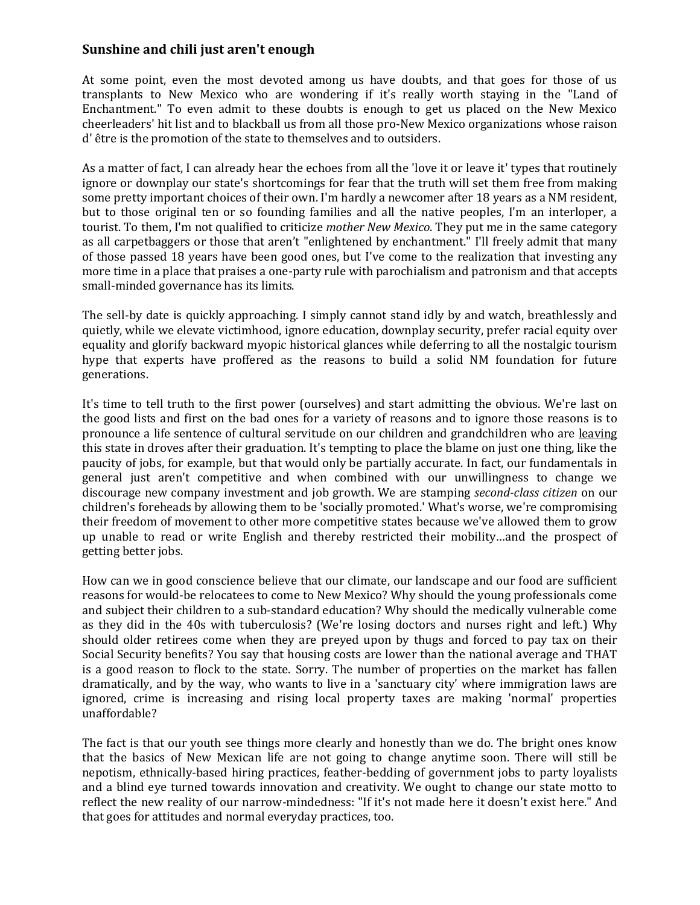## **Sunshine and chili just aren't enough**

At some point, even the most devoted among us have doubts, and that goes for those of us transplants to New Mexico who are wondering if it's really worth staying in the "Land of Enchantment." To even admit to these doubts is enough to get us placed on the New Mexico cheerleaders' hit list and to blackball us from all those pro-New Mexico organizations whose raison d' être is the promotion of the state to themselves and to outsiders.

As a matter of fact, I can already hear the echoes from all the 'love it or leave it' types that routinely ignore or downplay our state's shortcomings for fear that the truth will set them free from making some pretty important choices of their own. I'm hardly a newcomer after 18 years as a NM resident, but to those original ten or so founding families and all the native peoples, I'm an interloper, a tourist. To them, I'm not qualified to criticize *mother New Mexico*. They put me in the same category as all carpetbaggers or those that aren't "enlightened by enchantment." I'll freely admit that many of those passed 18 years have been good ones, but I've come to the realization that investing any more time in a place that praises a one-party rule with parochialism and patronism and that accepts small-minded governance has its limits.

The sell-by date is quickly approaching. I simply cannot stand idly by and watch, breathlessly and quietly, while we elevate victimhood, ignore education, downplay security, prefer racial equity over equality and glorify backward myopic historical glances while deferring to all the nostalgic tourism hype that experts have proffered as the reasons to build a solid NM foundation for future generations.

It's time to tell truth to the first power (ourselves) and start admitting the obvious. We're last on the good lists and first on the bad ones for a variety of reasons and to ignore those reasons is to pronounce a life sentence of cultural servitude on our children and grandchildren who are leaving this state in droves after their graduation. It's tempting to place the blame on just one thing, like the paucity of jobs, for example, but that would only be partially accurate. In fact, our fundamentals in general just aren't competitive and when combined with our unwillingness to change we discourage new company investment and job growth. We are stamping *second-class citizen* on our children's foreheads by allowing them to be 'socially promoted.' What's worse, we're compromising their freedom of movement to other more competitive states because we've allowed them to grow up unable to read or write English and thereby restricted their mobility…and the prospect of getting better jobs.

How can we in good conscience believe that our climate, our landscape and our food are sufficient reasons for would-be relocatees to come to New Mexico? Why should the young professionals come and subject their children to a sub-standard education? Why should the medically vulnerable come as they did in the 40s with tuberculosis? (We're losing doctors and nurses right and left.) Why should older retirees come when they are preyed upon by thugs and forced to pay tax on their Social Security benefits? You say that housing costs are lower than the national average and THAT is a good reason to flock to the state. Sorry. The number of properties on the market has fallen dramatically, and by the way, who wants to live in a 'sanctuary city' where immigration laws are ignored, crime is increasing and rising local property taxes are making 'normal' properties unaffordable?

The fact is that our youth see things more clearly and honestly than we do. The bright ones know that the basics of New Mexican life are not going to change anytime soon. There will still be nepotism, ethnically-based hiring practices, feather-bedding of government jobs to party loyalists and a blind eye turned towards innovation and creativity. We ought to change our state motto to reflect the new reality of our narrow-mindedness: "If it's not made here it doesn't exist here." And that goes for attitudes and normal everyday practices, too.